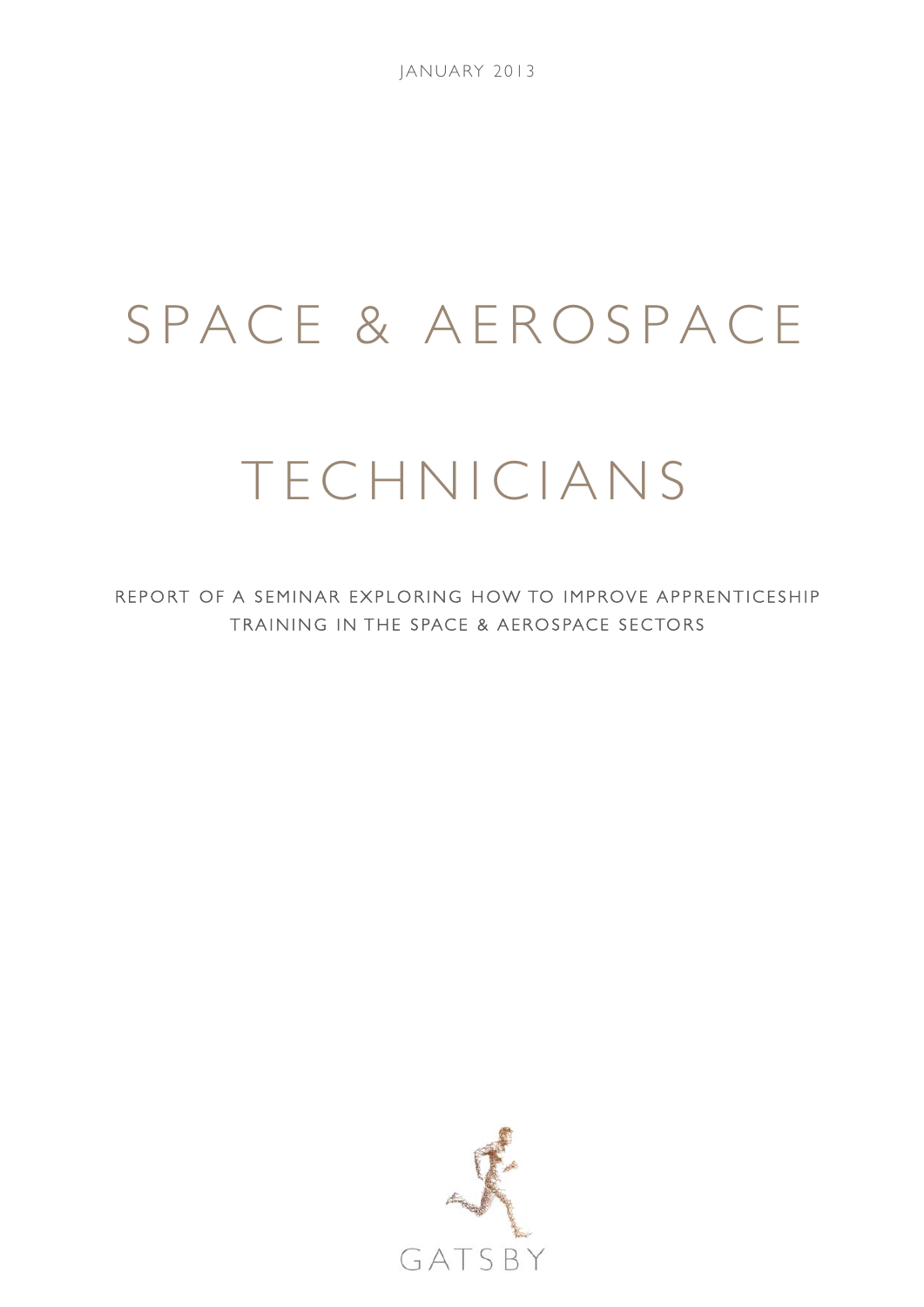# SPACE & AEROSPACE

# TECHNICIANS

REPORT OF A SEMINAR EXPLORING HOW TO IMPROVE APPRENTICESHIP TRAINING IN THE SPACE & AEROSPACE SECTORS

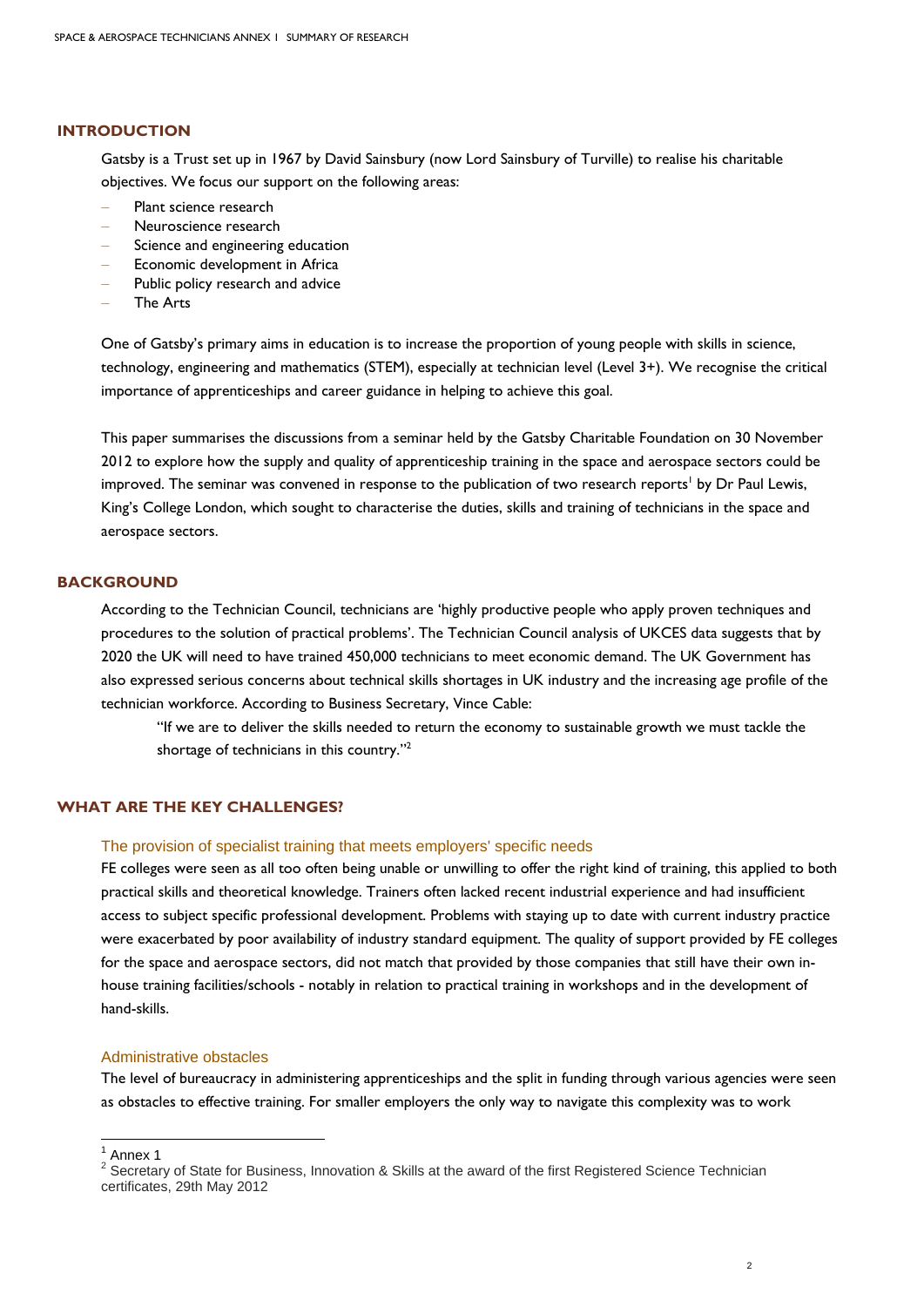#### **INTRODUCTION**

Gatsby is a Trust set up in 1967 by David Sainsbury (now Lord Sainsbury of Turville) to realise his charitable objectives. We focus our support on the following areas:

- − Plant science research
- − Neuroscience research
- Science and engineering education
- Economic development in Africa
- Public policy research and advice
- − The Arts

One of Gatsby's primary aims in education is to increase the proportion of young people with skills in science, technology, engineering and mathematics (STEM), especially at technician level (Level 3+). We recognise the critical importance of apprenticeships and career guidance in helping to achieve this goal.

This paper summarises the discussions from a seminar held by the Gatsby Charitable Foundation on 30 November 2012 to explore how the supply and quality of apprenticeship training in the space and aerospace sectors could be improved. The seminar was convened in response to the publication of two research reports<sup>1</sup> by Dr Paul Lewis, King's College London, which sought to characterise the duties, skills and training of technicians in the space and aerospace sectors.

## **BACKGROUND**

According to the Technician Council, technicians are 'highly productive people who apply proven techniques and procedures to the solution of practical problems'. The Technician Council analysis of UKCES data suggests that by 2020 the UK will need to have trained 450,000 technicians to meet economic demand. The UK Government has also expressed serious concerns about technical skills shortages in UK industry and the increasing age profile of the technician workforce. According to Business Secretary, Vince Cable:

"If we are to deliver the skills needed to return the economy to sustainable growth we must tackle the shortage of technicians in this country."2

# **WHAT ARE THE KEY CHALLENGES?**

# The provision of specialist training that meets employers' specific needs

FE colleges were seen as all too often being unable or unwilling to offer the right kind of training, this applied to both practical skills and theoretical knowledge. Trainers often lacked recent industrial experience and had insufficient access to subject specific professional development. Problems with staying up to date with current industry practice were exacerbated by poor availability of industry standard equipment. The quality of support provided by FE colleges for the space and aerospace sectors, did not match that provided by those companies that still have their own inhouse training facilities/schools - notably in relation to practical training in workshops and in the development of hand-skills.

#### Administrative obstacles

The level of bureaucracy in administering apprenticeships and the split in funding through various agencies were seen as obstacles to effective training. For smaller employers the only way to navigate this complexity was to work

1

<sup>&</sup>lt;sup>1</sup> Annex 1

<sup>&</sup>lt;sup>2</sup> Secretary of State for Business, Innovation & Skills at the award of the first Registered Science Technician certificates, 29th May 2012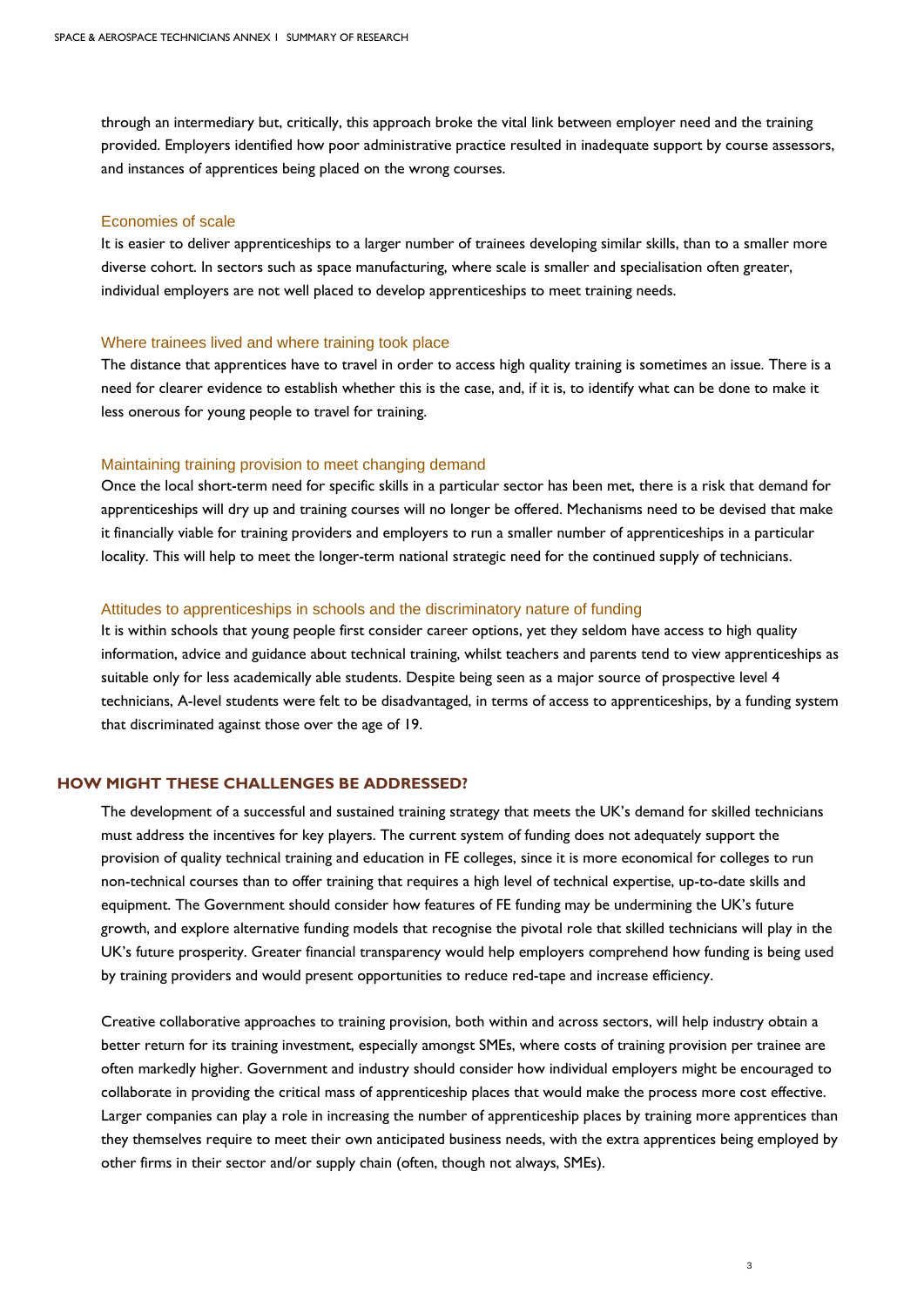through an intermediary but, critically, this approach broke the vital link between employer need and the training provided. Employers identified how poor administrative practice resulted in inadequate support by course assessors, and instances of apprentices being placed on the wrong courses.

#### Economies of scale

It is easier to deliver apprenticeships to a larger number of trainees developing similar skills, than to a smaller more diverse cohort. In sectors such as space manufacturing, where scale is smaller and specialisation often greater, individual employers are not well placed to develop apprenticeships to meet training needs.

#### Where trainees lived and where training took place

The distance that apprentices have to travel in order to access high quality training is sometimes an issue. There is a need for clearer evidence to establish whether this is the case, and, if it is, to identify what can be done to make it less onerous for young people to travel for training.

#### Maintaining training provision to meet changing demand

Once the local short-term need for specific skills in a particular sector has been met, there is a risk that demand for apprenticeships will dry up and training courses will no longer be offered. Mechanisms need to be devised that make it financially viable for training providers and employers to run a smaller number of apprenticeships in a particular locality. This will help to meet the longer-term national strategic need for the continued supply of technicians.

#### Attitudes to apprenticeships in schools and the discriminatory nature of funding

It is within schools that young people first consider career options, yet they seldom have access to high quality information, advice and guidance about technical training, whilst teachers and parents tend to view apprenticeships as suitable only for less academically able students. Despite being seen as a major source of prospective level 4 technicians, A-level students were felt to be disadvantaged, in terms of access to apprenticeships, by a funding system that discriminated against those over the age of 19.

# **HOW MIGHT THESE CHALLENGES BE ADDRESSED?**

The development of a successful and sustained training strategy that meets the UK's demand for skilled technicians must address the incentives for key players. The current system of funding does not adequately support the provision of quality technical training and education in FE colleges, since it is more economical for colleges to run non-technical courses than to offer training that requires a high level of technical expertise, up-to-date skills and equipment. The Government should consider how features of FE funding may be undermining the UK's future growth, and explore alternative funding models that recognise the pivotal role that skilled technicians will play in the UK's future prosperity. Greater financial transparency would help employers comprehend how funding is being used by training providers and would present opportunities to reduce red-tape and increase efficiency.

Creative collaborative approaches to training provision, both within and across sectors, will help industry obtain a better return for its training investment, especially amongst SMEs, where costs of training provision per trainee are often markedly higher. Government and industry should consider how individual employers might be encouraged to collaborate in providing the critical mass of apprenticeship places that would make the process more cost effective. Larger companies can play a role in increasing the number of apprenticeship places by training more apprentices than they themselves require to meet their own anticipated business needs, with the extra apprentices being employed by other firms in their sector and/or supply chain (often, though not always, SMEs).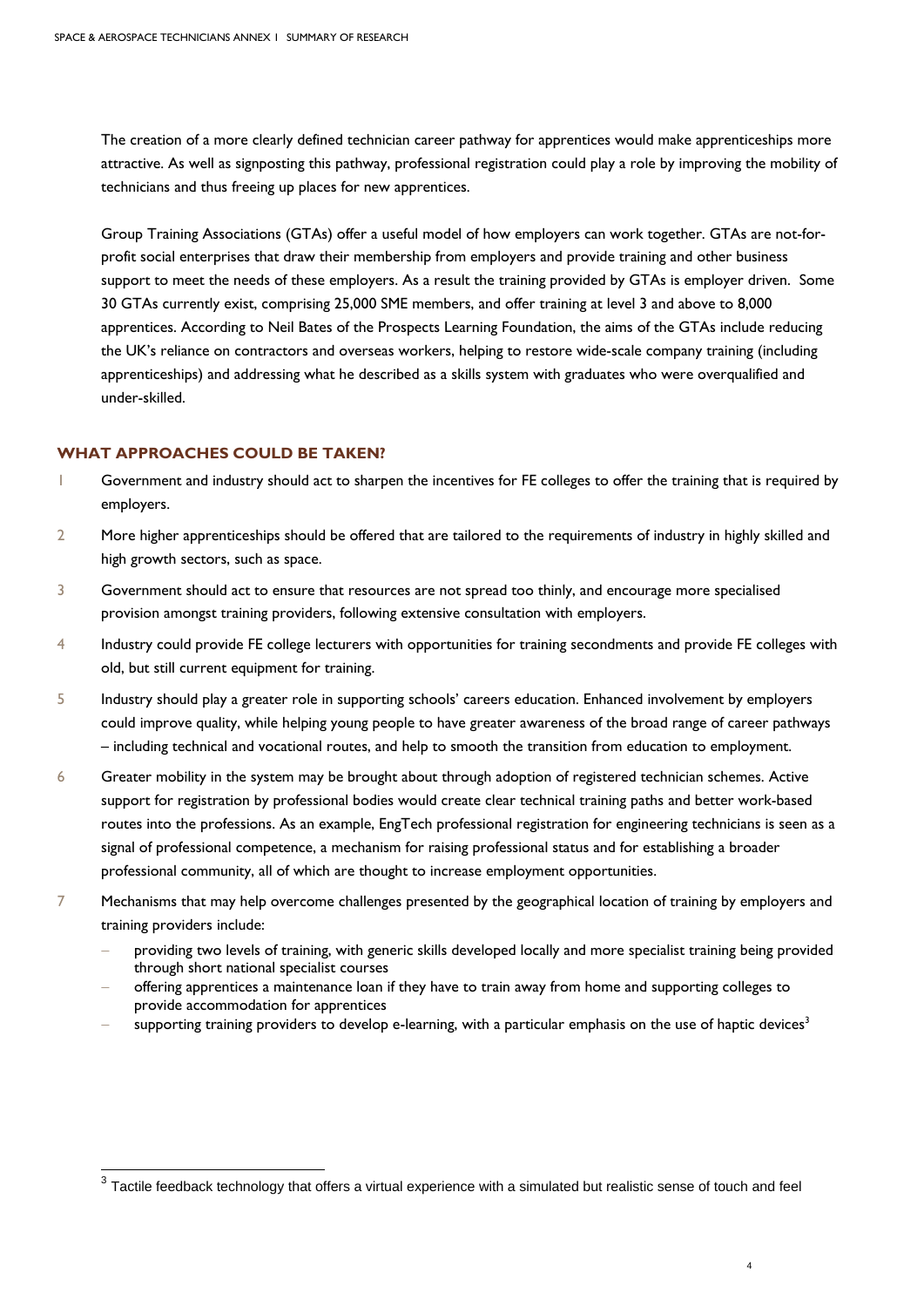The creation of a more clearly defined technician career pathway for apprentices would make apprenticeships more attractive. As well as signposting this pathway, professional registration could play a role by improving the mobility of technicians and thus freeing up places for new apprentices.

Group Training Associations (GTAs) offer a useful model of how employers can work together. GTAs are not-forprofit social enterprises that draw their membership from employers and provide training and other business support to meet the needs of these employers. As a result the training provided by GTAs is employer driven. Some 30 GTAs currently exist, comprising 25,000 SME members, and offer training at level 3 and above to 8,000 apprentices. According to Neil Bates of the Prospects Learning Foundation, the aims of the GTAs include reducing the UK's reliance on contractors and overseas workers, helping to restore wide-scale company training (including apprenticeships) and addressing what he described as a skills system with graduates who were overqualified and under-skilled.

# **WHAT APPROACHES COULD BE TAKEN?**

 $\overline{a}$ 

- 1 Government and industry should act to sharpen the incentives for FE colleges to offer the training that is required by employers.
- 2 More higher apprenticeships should be offered that are tailored to the requirements of industry in highly skilled and high growth sectors, such as space.
- 3 Government should act to ensure that resources are not spread too thinly, and encourage more specialised provision amongst training providers, following extensive consultation with employers.
- 4 Industry could provide FE college lecturers with opportunities for training secondments and provide FE colleges with old, but still current equipment for training.
- 5 Industry should play a greater role in supporting schools' careers education. Enhanced involvement by employers could improve quality, while helping young people to have greater awareness of the broad range of career pathways – including technical and vocational routes, and help to smooth the transition from education to employment.
- 6 Greater mobility in the system may be brought about through adoption of registered technician schemes. Active support for registration by professional bodies would create clear technical training paths and better work-based routes into the professions. As an example, EngTech professional registration for engineering technicians is seen as a signal of professional competence, a mechanism for raising professional status and for establishing a broader professional community, all of which are thought to increase employment opportunities.
- 7 Mechanisms that may help overcome challenges presented by the geographical location of training by employers and training providers include:
	- providing two levels of training, with generic skills developed locally and more specialist training being provided through short national specialist courses
	- − offering apprentices a maintenance loan if they have to train away from home and supporting colleges to provide accommodation for apprentices
	- supporting training providers to develop e-learning, with a particular emphasis on the use of haptic devices<sup>3</sup>

 $^3$  Tactile feedback technology that offers a virtual experience with a simulated but realistic sense of touch and feel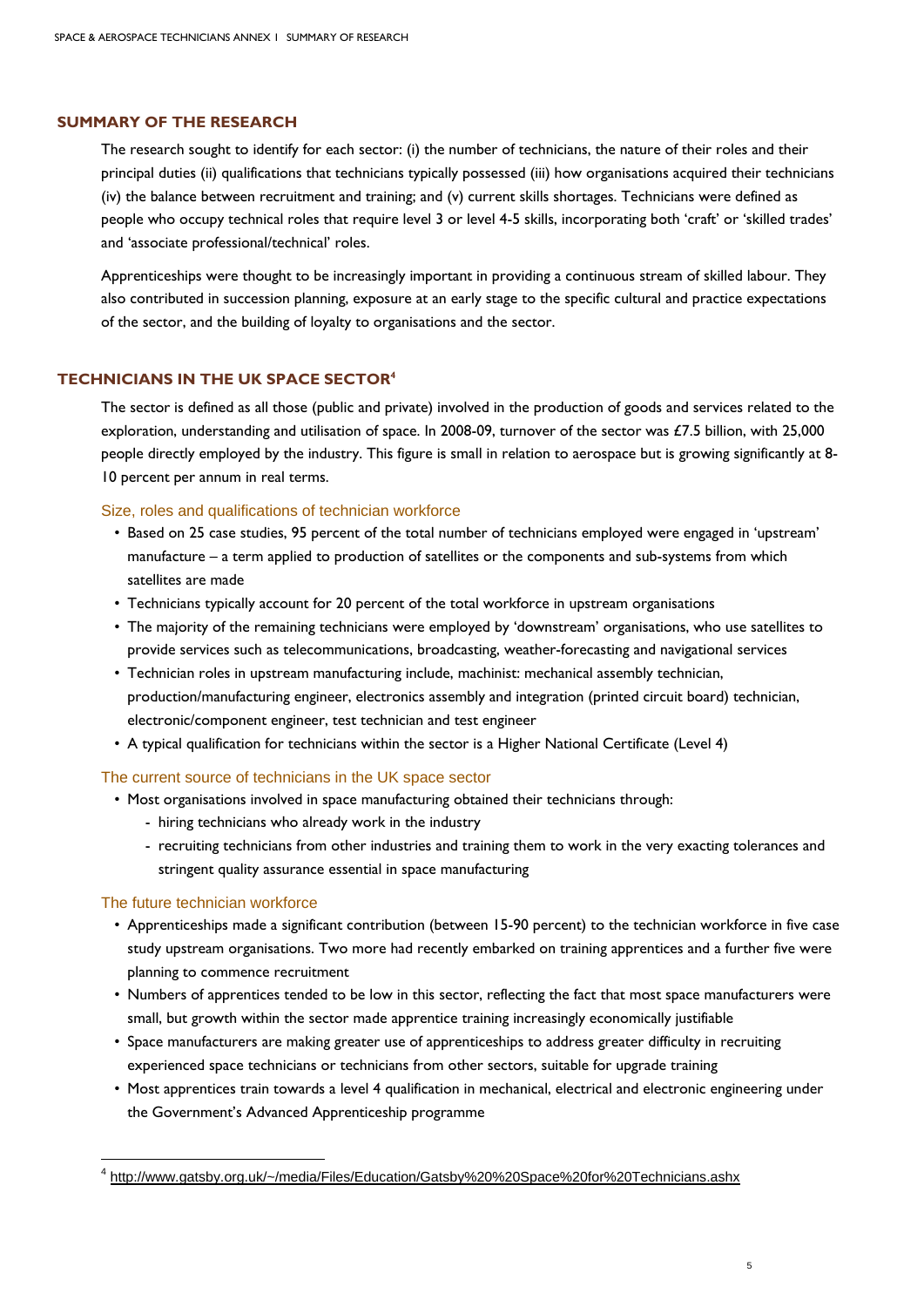## **SUMMARY OF THE RESEARCH**

The research sought to identify for each sector: (i) the number of technicians, the nature of their roles and their principal duties (ii) qualifications that technicians typically possessed (iii) how organisations acquired their technicians (iv) the balance between recruitment and training; and (v) current skills shortages. Technicians were defined as people who occupy technical roles that require level 3 or level 4-5 skills, incorporating both 'craft' or 'skilled trades' and 'associate professional/technical' roles.

Apprenticeships were thought to be increasingly important in providing a continuous stream of skilled labour. They also contributed in succession planning, exposure at an early stage to the specific cultural and practice expectations of the sector, and the building of loyalty to organisations and the sector.

# **TECHNICIANS IN THE UK SPACE SECTOR4**

The sector is defined as all those (public and private) involved in the production of goods and services related to the exploration, understanding and utilisation of space. In 2008-09, turnover of the sector was £7.5 billion, with 25,000 people directly employed by the industry. This figure is small in relation to aerospace but is growing significantly at 8- 10 percent per annum in real terms.

Size, roles and qualifications of technician workforce

- Based on 25 case studies, 95 percent of the total number of technicians employed were engaged in 'upstream' manufacture – a term applied to production of satellites or the components and sub-systems from which satellites are made
- Technicians typically account for 20 percent of the total workforce in upstream organisations
- The majority of the remaining technicians were employed by 'downstream' organisations, who use satellites to provide services such as telecommunications, broadcasting, weather-forecasting and navigational services
- Technician roles in upstream manufacturing include, machinist: mechanical assembly technician, production/manufacturing engineer, electronics assembly and integration (printed circuit board) technician, electronic/component engineer, test technician and test engineer
- A typical qualification for technicians within the sector is a Higher National Certificate (Level 4)

# The current source of technicians in the UK space sector

- Most organisations involved in space manufacturing obtained their technicians through:
	- hiring technicians who already work in the industry
	- recruiting technicians from other industries and training them to work in the very exacting tolerances and stringent quality assurance essential in space manufacturing

#### The future technician workforce

1

- Apprenticeships made a significant contribution (between 15-90 percent) to the technician workforce in five case study upstream organisations. Two more had recently embarked on training apprentices and a further five were planning to commence recruitment
- Numbers of apprentices tended to be low in this sector, reflecting the fact that most space manufacturers were small, but growth within the sector made apprentice training increasingly economically justifiable
- Space manufacturers are making greater use of apprenticeships to address greater difficulty in recruiting experienced space technicians or technicians from other sectors, suitable for upgrade training
- Most apprentices train towards a level 4 qualification in mechanical, electrical and electronic engineering under the Government's Advanced Apprenticeship programme

<sup>&</sup>lt;sup>4</sup> http://www.gatsby.org.uk/~/media/Files/Education/Gatsby%20%20Space%20for%20Technicians.ashx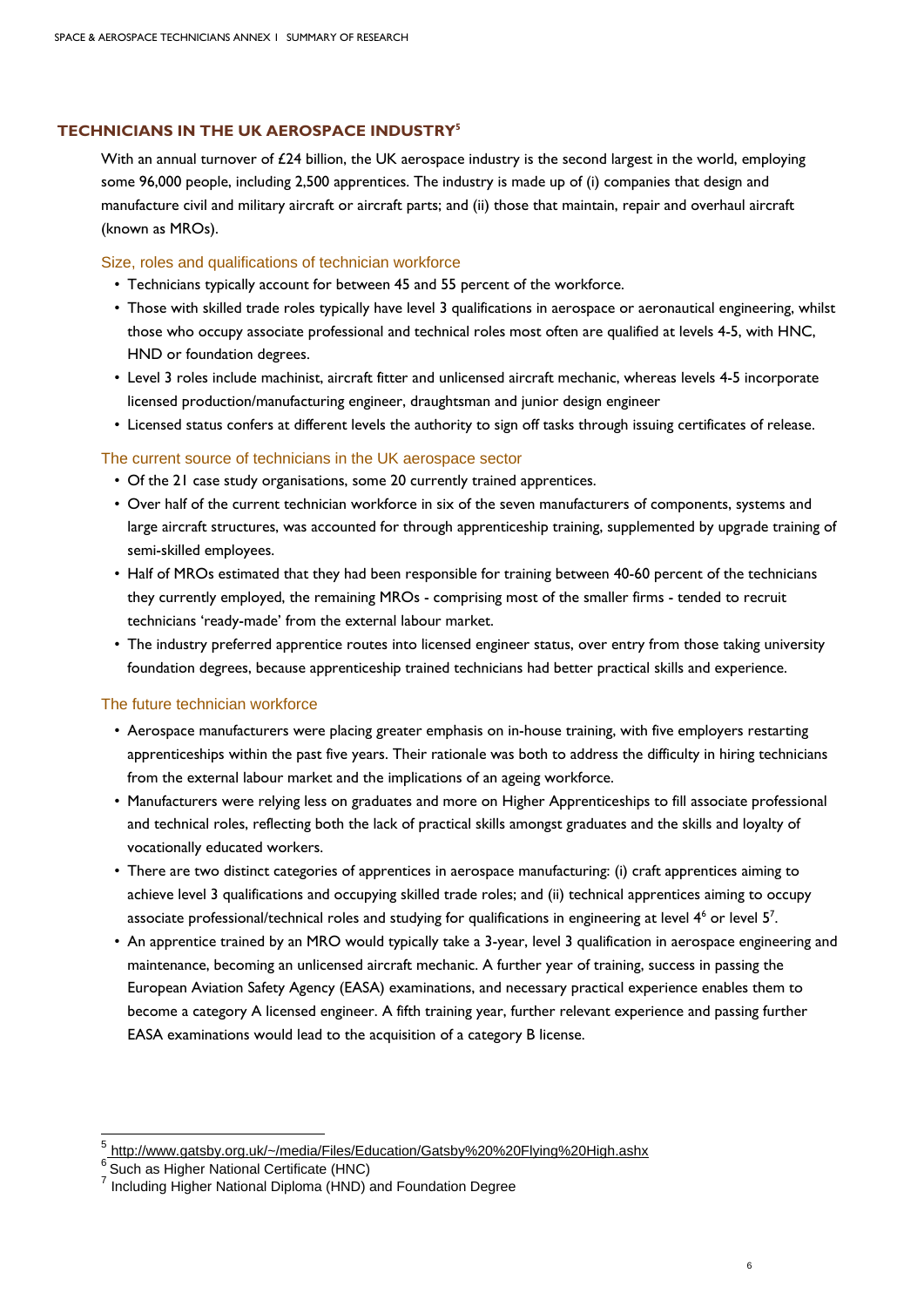# **TECHNICIANS IN THE UK AEROSPACE INDUSTRY5**

With an annual turnover of £24 billion, the UK aerospace industry is the second largest in the world, employing some 96,000 people, including 2,500 apprentices. The industry is made up of (i) companies that design and manufacture civil and military aircraft or aircraft parts; and (ii) those that maintain, repair and overhaul aircraft (known as MROs).

# Size, roles and qualifications of technician workforce

- Technicians typically account for between 45 and 55 percent of the workforce.
- Those with skilled trade roles typically have level 3 qualifications in aerospace or aeronautical engineering, whilst those who occupy associate professional and technical roles most often are qualified at levels 4-5, with HNC, HND or foundation degrees.
- Level 3 roles include machinist, aircraft fitter and unlicensed aircraft mechanic, whereas levels 4-5 incorporate licensed production/manufacturing engineer, draughtsman and junior design engineer
- Licensed status confers at different levels the authority to sign off tasks through issuing certificates of release.

## The current source of technicians in the UK aerospace sector

- Of the 21 case study organisations, some 20 currently trained apprentices.
- Over half of the current technician workforce in six of the seven manufacturers of components, systems and large aircraft structures, was accounted for through apprenticeship training, supplemented by upgrade training of semi-skilled employees.
- Half of MROs estimated that they had been responsible for training between 40-60 percent of the technicians they currently employed, the remaining MROs - comprising most of the smaller firms - tended to recruit technicians 'ready-made' from the external labour market.
- The industry preferred apprentice routes into licensed engineer status, over entry from those taking university foundation degrees, because apprenticeship trained technicians had better practical skills and experience.

#### The future technician workforce

- Aerospace manufacturers were placing greater emphasis on in-house training, with five employers restarting apprenticeships within the past five years. Their rationale was both to address the difficulty in hiring technicians from the external labour market and the implications of an ageing workforce.
- Manufacturers were relying less on graduates and more on Higher Apprenticeships to fill associate professional and technical roles, reflecting both the lack of practical skills amongst graduates and the skills and loyalty of vocationally educated workers.
- There are two distinct categories of apprentices in aerospace manufacturing: (i) craft apprentices aiming to achieve level 3 qualifications and occupying skilled trade roles; and (ii) technical apprentices aiming to occupy associate professional/technical roles and studying for qualifications in engineering at level  $4<sup>6</sup>$  or level  $5<sup>7</sup>$ .
- An apprentice trained by an MRO would typically take a 3-year, level 3 qualification in aerospace engineering and maintenance, becoming an unlicensed aircraft mechanic. A further year of training, success in passing the European Aviation Safety Agency (EASA) examinations, and necessary practical experience enables them to become a category A licensed engineer. A fifth training year, further relevant experience and passing further EASA examinations would lead to the acquisition of a category B license.

1

<sup>&</sup>lt;sup>5</sup>http://www.gatsby.org.uk/~/media/Files/Education/Gatsby%20%20Flying%20High.ashx

 $6$  Such as Higher National Certificate (HNC)

<sup>7</sup> Including Higher National Diploma (HND) and Foundation Degree